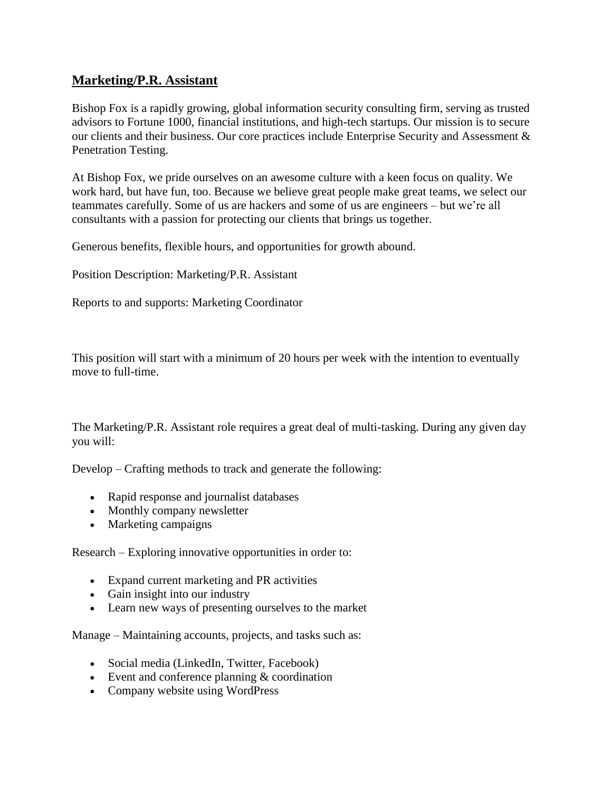## **Marketing/P.R. Assistant**

Bishop Fox is a rapidly growing, global information security consulting firm, serving as trusted advisors to Fortune 1000, financial institutions, and high-tech startups. Our mission is to secure our clients and their business. Our core practices include Enterprise Security and Assessment & Penetration Testing.

At Bishop Fox, we pride ourselves on an awesome culture with a keen focus on quality. We work hard, but have fun, too. Because we believe great people make great teams, we select our teammates carefully. Some of us are hackers and some of us are engineers – but we're all consultants with a passion for protecting our clients that brings us together.

Generous benefits, flexible hours, and opportunities for growth abound.

Position Description: Marketing/P.R. Assistant

Reports to and supports: Marketing Coordinator

This position will start with a minimum of 20 hours per week with the intention to eventually move to full-time.

The Marketing/P.R. Assistant role requires a great deal of multi-tasking. During any given day you will:

Develop – Crafting methods to track and generate the following:

- Rapid response and journalist databases
- Monthly company newsletter
- Marketing campaigns

Research – Exploring innovative opportunities in order to:

- Expand current marketing and PR activities
- Gain insight into our industry
- Learn new ways of presenting ourselves to the market

Manage – Maintaining accounts, projects, and tasks such as:

- Social media (LinkedIn, Twitter, Facebook)
- Event and conference planning & coordination
- Company website using WordPress